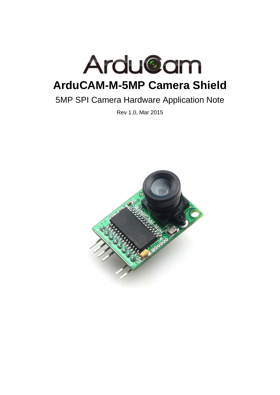

# 5MP SPI Camera Hardware Application Note

Rev 1.0, Mar 2015

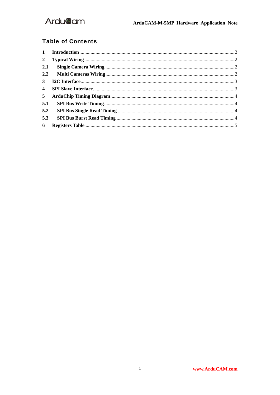#### **Table of Contents**

| $2^{\circ}$    |  |
|----------------|--|
| 2.1            |  |
|                |  |
| 3 <sup>7</sup> |  |
| $\overline{4}$ |  |
| 5 <sup>5</sup> |  |
| 5.1            |  |
| 5.2            |  |
| 5.3            |  |
| 6              |  |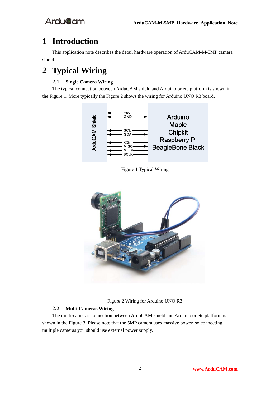## **1 Introduction**

This application note describes the detail hardware operation of ArduCAM-M-5MP camera shield.

## **2 Typical Wiring**

#### **2.1 Single Camera Wiring**

The typical connection between ArduCAM shield and Arduino or etc platform is shown in the Figure 1. More typically the Figure 2 shows the wiring for Arduino UNO R3 board.



Figure 1 Typical Wiring



Figure 2 Wiring for Arduino UNO R3

#### **2.2 Multi Cameras Wiring**

The multi-cameras connection between ArduCAM shield and Arduino or etc platform is shown in the Figure 3. Please note that the 5MP camera uses massive power, so connecting multiple cameras you should use external power supply.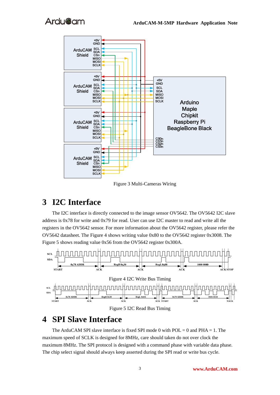

Figure 3 Multi-Cameras Wiring

### **3 I2C Interface**

The I2C interface is directly connected to the image sensor OV5642. The OV5642 I2C slave address is 0x78 for write and 0x79 for read. User can use I2C master to read and write all the registers in the OV5642 sensor. For more information about the OV5642 register, please refer the OV5642 datasheet. The Figure 4 shows writing value 0x80 to the OV5642 register 0x3008. The Figure 5 shows reading value 0x56 from the OV5642 register 0x300A.



## **4 SPI Slave Interface**

The ArduCAM SPI slave interface is fixed SPI mode 0 with  $POL = 0$  and  $PHA = 1$ . The maximum speed of SCLK is designed for 8MHz, care should taken do not over clock the maximum 8MHz. The SPI protocol is designed with a command phase with variable data phase. The chip select signal should always keep asserted during the SPI read or write bus cycle.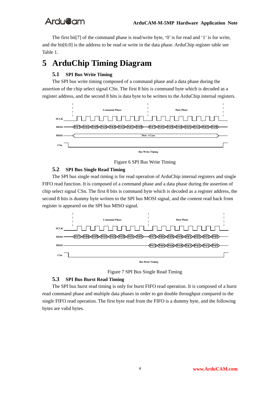The first bit[7] of the command phase is read/write byte, '0' is for read and '1' is for write, and the bit[6:0] is the address to be read or write in the data phase. ArduChip register table see Table 1.

## **5 ArduChip Timing Diagram**

#### **5.1 SPI Bus Write Timing**

The SPI bus write timing composed of a command phase and a data phase during the assertion of the chip select signal CSn. The first 8 bits is command byte which is decoded as a register address, and the second 8 bits is data byte to be written to the ArduChip internal registers.



Figure 6 SPI Bus Write Timing

#### **5.2 SPI Bus Single Read Timing**

The SPI bus single read timing is for read operation of ArduChip internal registers and single FIFO read function. It is composed of a command phase and a data phase during the assertion of chip select signal CSn. The first 8 bits is command byte which is decoded as a register address, the second 8 bits is dummy byte written to the SPI bus MOSI signal, and the content read back from register is appeared on the SPI bus MISO signal.



Figure 7 SPI Bus Single Read Timing

#### **5.3 SPI Bus Burst Read Timing**

The SPI bus burst read timing is only for burst FIFO read operation. It is composed of a burst read command phase and multiple data phases in order to get double throughput compared to the single FIFO read operation. The first byte read from the FIFO is a dummy byte, and the following bytes are valid bytes.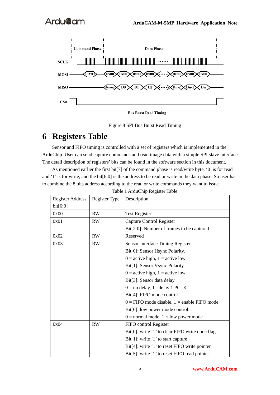

**Bus Burst Read Timing** 



## **6 Registers Table**

Sensor and FIFO timing is controlled with a set of registers which is implemented in the ArduChip. User can send capture commands and read image data with a simple SPI slave interface. The detail description of registers' bits can be found in the software section in this document.

As mentioned earlier the first bit[7] of the command phase is read/write byte, '0' is for read and '1' is for write, and the bit[6:0] is the address to be read or write in the data phase. So user has to combine the 8 bits address according to the read or write commands they want to issue.

| <b>Register Address</b><br>bit[6:0] | Register Type | Description                                     |
|-------------------------------------|---------------|-------------------------------------------------|
| 0x00                                | <b>RW</b>     | <b>Test Register</b>                            |
| 0x01                                | <b>RW</b>     | Capture Control Register                        |
|                                     |               | Bit[2:0]: Number of frames to be captured       |
| 0x02                                | <b>RW</b>     | Reserved                                        |
| 0x03                                | <b>RW</b>     | Sensor Interface Timing Register                |
|                                     |               | Bit[0]: Sensor Hsync Polarity,                  |
|                                     |               | $0 =$ active high, $1 =$ active low             |
|                                     |               | Bit[1]: Sensor Vsync Polarity                   |
|                                     |               | $0 =$ active high, $1 =$ active low             |
|                                     |               | Bit[3]: Sensor data delay                       |
|                                     |               | $0 =$ no delay, 1 = delay 1 PCLK                |
|                                     |               | Bit[4]: FIFO mode control                       |
|                                     |               | $0 =$ FIFO mode disable, $1 =$ enable FIFO mode |
|                                     |               | Bit[6]: low power mode control                  |
|                                     |               | $0 =$ normal mode, $1 =$ low power mode         |
| 0x04                                | <b>RW</b>     | FIFO control Register                           |
|                                     |               | Bit[0]: write '1' to clear FIFO write done flag |
|                                     |               | Bit[1]: write '1' to start capture              |
|                                     |               | Bit[4]: write '1' to reset FIFO write pointer   |
|                                     |               | Bit[5]: write '1' to reset FIFO read pointer    |

Table 1 ArduChip Register Table